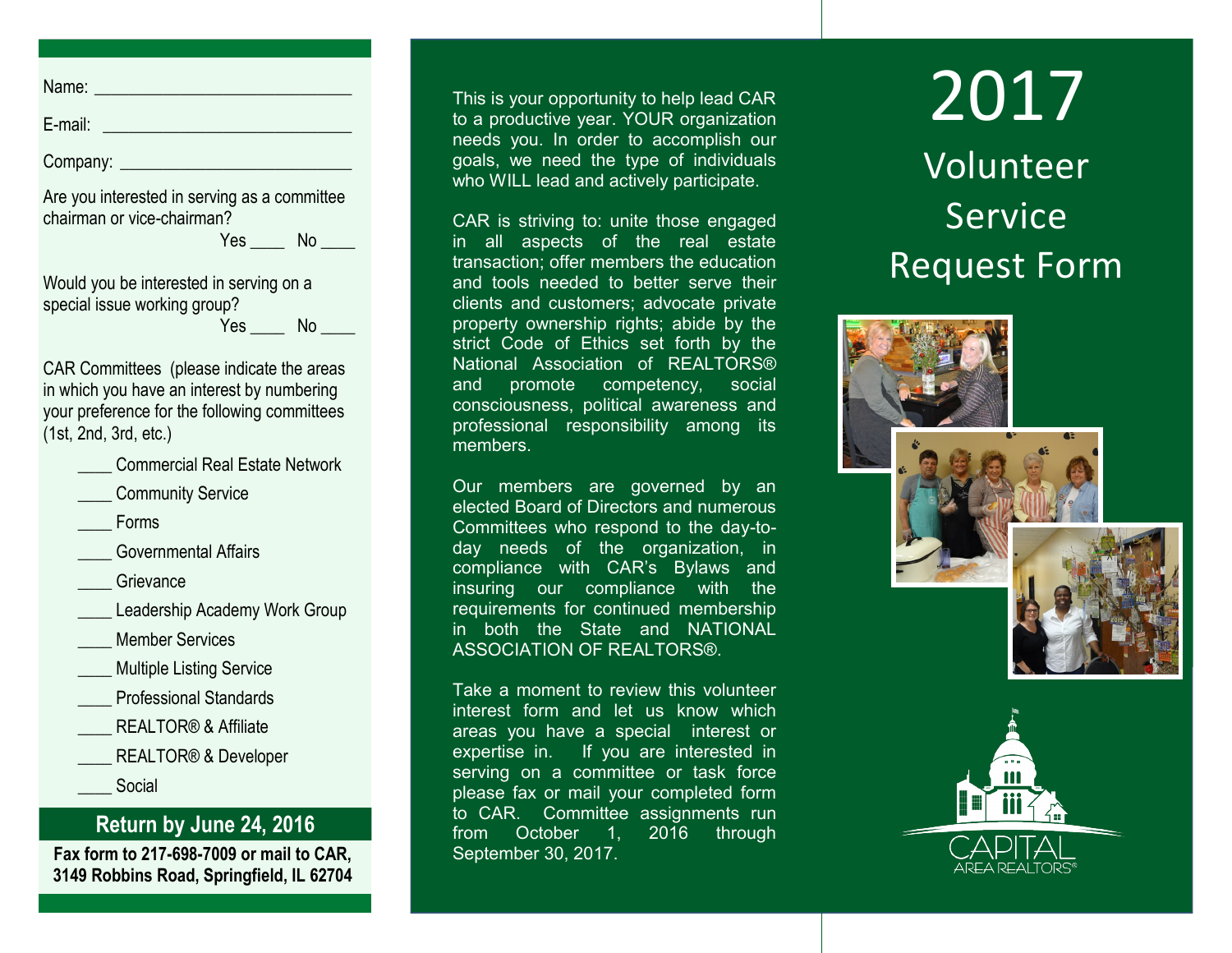Name: \_\_\_\_\_\_\_\_\_\_\_\_\_\_\_\_\_\_\_\_\_\_\_\_\_\_\_\_\_\_

E-mail: \_\_\_\_\_\_\_\_\_\_\_\_\_\_\_\_\_\_\_\_\_\_\_\_\_\_\_\_\_

Company: \_\_\_\_\_\_\_\_\_\_\_\_\_\_\_\_\_\_\_\_\_\_\_\_\_\_\_

Are you interested in serving as a committee chairman or vice-chairman?

...<br>Yes No \_\_\_

Would you be interested in serving on a special issue working group?  $Yes$  No  $\qquad$ 

CAR Committees (please indicate the areas in which you have an interest by numbering your preference for the following committees (1st, 2nd, 3rd, etc.)

|  |  | <b>Commercial Real Estate Network</b> |  |  |  |
|--|--|---------------------------------------|--|--|--|
|--|--|---------------------------------------|--|--|--|

- Community Service
- \_\_\_\_ Forms
- \_\_\_\_ Governmental Affairs
- Grievance
- Leadership Academy Work Group
- Member Services
- **Multiple Listing Service**
- \_\_\_\_ Professional Standards
- REALTOR<sup>®</sup> & Affiliate
- REALTOR<sup>®</sup> & Developer \_\_\_\_ Social

## **Return by June 24, 2016**

**Fax form to 217-698-7009 or mail to CAR, 3149 Robbins Road, Springfield, IL 62704** This is your opportunity to help lead CAR to a productive year. YOUR organization needs you. In order to accomplish our goals, we need the type of individuals who WILL lead and actively participate.

CAR is striving to: unite those engaged in all aspects of the real estate transaction; offer members the education and tools needed to better serve their clients and customers; advocate private property ownership rights; abide by the strict Code of Ethics set forth by the National Association of REALTORS® and promote competency, social consciousness, political awareness and professional responsibility among its members.

Our members are governed by an elected Board of Directors and numerous Committees who respond to the day-today needs of the organization, in compliance with CAR's Bylaws and insuring our compliance with the requirements for continued membership in both the State and NATIONAL ASSOCIATION OF REALTORS®.

Take a moment to review this volunteer interest form and let us know which areas you have a special interest or expertise in. If you are interested in serving on a committee or task force please fax or mail your completed form to CAR. Committee assignments run from October 1, 2016 through September 30, 2017.

## 2017 Volunteer Service Request Form